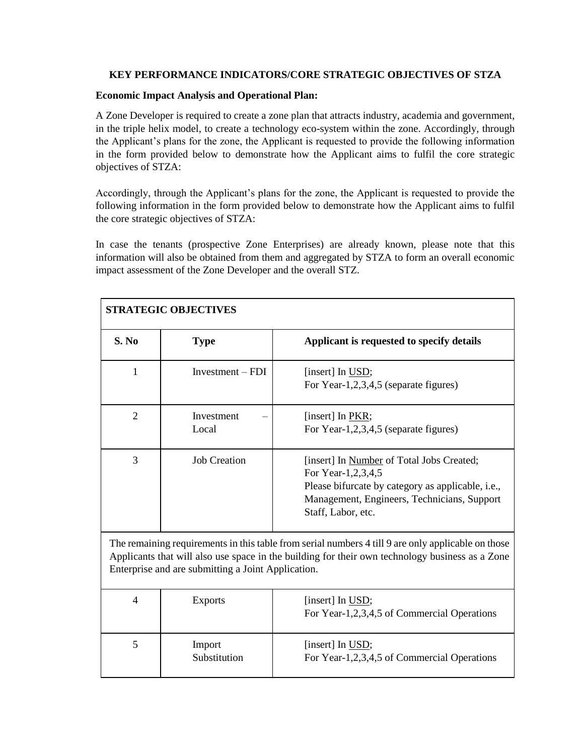## **KEY PERFORMANCE INDICATORS/CORE STRATEGIC OBJECTIVES OF STZA**

## **Economic Impact Analysis and Operational Plan:**

A Zone Developer is required to create a zone plan that attracts industry, academia and government, in the triple helix model, to create a technology eco-system within the zone. Accordingly, through the Applicant's plans for the zone, the Applicant is requested to provide the following information in the form provided below to demonstrate how the Applicant aims to fulfil the core strategic objectives of STZA:

Accordingly, through the Applicant's plans for the zone, the Applicant is requested to provide the following information in the form provided below to demonstrate how the Applicant aims to fulfil the core strategic objectives of STZA:

In case the tenants (prospective Zone Enterprises) are already known, please note that this information will also be obtained from them and aggregated by STZA to form an overall economic impact assessment of the Zone Developer and the overall STZ.

| <b>STRATEGIC OBJECTIVES</b>                                                                                                                                                                                                                                 |                        |                                                                                                                                                                                           |  |
|-------------------------------------------------------------------------------------------------------------------------------------------------------------------------------------------------------------------------------------------------------------|------------------------|-------------------------------------------------------------------------------------------------------------------------------------------------------------------------------------------|--|
| S. No                                                                                                                                                                                                                                                       | <b>Type</b>            | Applicant is requested to specify details                                                                                                                                                 |  |
| 1                                                                                                                                                                                                                                                           | $Investment - FDI$     | [insert] In USD;<br>For Year-1,2,3,4,5 (separate figures)                                                                                                                                 |  |
| $\overline{2}$                                                                                                                                                                                                                                              | Investment<br>Local    | [insert] In PKR;<br>For Year-1,2,3,4,5 (separate figures)                                                                                                                                 |  |
| 3                                                                                                                                                                                                                                                           | <b>Job Creation</b>    | [insert] In Number of Total Jobs Created;<br>For Year-1,2,3,4,5<br>Please bifurcate by category as applicable, i.e.,<br>Management, Engineers, Technicians, Support<br>Staff, Labor, etc. |  |
| The remaining requirements in this table from serial numbers 4 till 9 are only applicable on those<br>Applicants that will also use space in the building for their own technology business as a Zone<br>Enterprise and are submitting a Joint Application. |                        |                                                                                                                                                                                           |  |
| $\overline{4}$                                                                                                                                                                                                                                              | <b>Exports</b>         | [insert] In USD;<br>For Year-1,2,3,4,5 of Commercial Operations                                                                                                                           |  |
| 5                                                                                                                                                                                                                                                           | Import<br>Substitution | [insert] In USD;<br>For Year-1,2,3,4,5 of Commercial Operations                                                                                                                           |  |